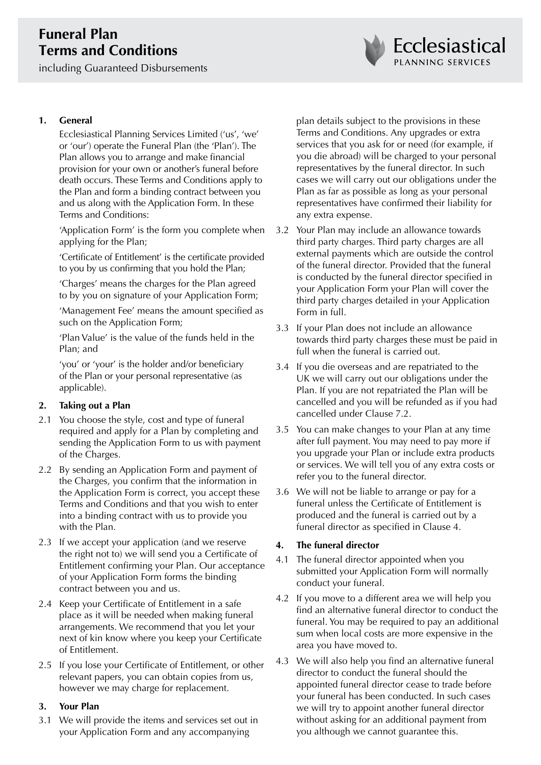# **Funeral Plan Terms and Conditions**

including Guaranteed Disbursements



## **1. General**

Ecclesiastical Planning Services Limited ('us', 'we' or 'our') operate the Funeral Plan (the 'Plan'). The Plan allows you to arrange and make financial provision for your own or another's funeral before death occurs. These Terms and Conditions apply to the Plan and form a binding contract between you and us along with the Application Form. In these Terms and Conditions:

'Application Form' is the form you complete when applying for the Plan;

'Certificate of Entitlement' is the certificate provided to you by us confirming that you hold the Plan;

'Charges' means the charges for the Plan agreed to by you on signature of your Application Form;

'Management Fee' means the amount specified as such on the Application Form;

'Plan Value' is the value of the funds held in the Plan; and

'you' or 'your' is the holder and/or beneficiary of the Plan or your personal representative (as applicable).

## **2. Taking out a Plan**

- 2.1 You choose the style, cost and type of funeral required and apply for a Plan by completing and sending the Application Form to us with payment of the Charges.
- 2.2 By sending an Application Form and payment of the Charges, you confirm that the information in the Application Form is correct, you accept these Terms and Conditions and that you wish to enter into a binding contract with us to provide you with the Plan.
- 2.3 If we accept your application (and we reserve the right not to) we will send you a Certificate of Entitlement confirming your Plan. Our acceptance of your Application Form forms the binding contract between you and us.
- 2.4 Keep your Certificate of Entitlement in a safe place as it will be needed when making funeral arrangements. We recommend that you let your next of kin know where you keep your Certificate of Entitlement.
- 2.5 If you lose your Certificate of Entitlement, or other relevant papers, you can obtain copies from us, however we may charge for replacement.

## **3. Your Plan**

3.1 We will provide the items and services set out in your Application Form and any accompanying

plan details subject to the provisions in these Terms and Conditions. Any upgrades or extra services that you ask for or need (for example, if you die abroad) will be charged to your personal representatives by the funeral director. In such cases we will carry out our obligations under the Plan as far as possible as long as your personal representatives have confirmed their liability for any extra expense.

- 3.2 Your Plan may include an allowance towards third party charges. Third party charges are all external payments which are outside the control of the funeral director. Provided that the funeral is conducted by the funeral director specified in your Application Form your Plan will cover the third party charges detailed in your Application Form in full.
- 3.3 If your Plan does not include an allowance towards third party charges these must be paid in full when the funeral is carried out.
- 3.4 If you die overseas and are repatriated to the UK we will carry out our obligations under the Plan. If you are not repatriated the Plan will be cancelled and you will be refunded as if you had cancelled under Clause 7.2.
- 3.5 You can make changes to your Plan at any time after full payment. You may need to pay more if you upgrade your Plan or include extra products or services. We will tell you of any extra costs or refer you to the funeral director.
- 3.6 We will not be liable to arrange or pay for a funeral unless the Certificate of Entitlement is produced and the funeral is carried out by a funeral director as specified in Clause 4.

## **4. The funeral director**

- 4.1 The funeral director appointed when you submitted your Application Form will normally conduct your funeral.
- 4.2 If you move to a different area we will help you find an alternative funeral director to conduct the funeral. You may be required to pay an additional sum when local costs are more expensive in the area you have moved to.
- 4.3 We will also help you find an alternative funeral director to conduct the funeral should the appointed funeral director cease to trade before your funeral has been conducted. In such cases we will try to appoint another funeral director without asking for an additional payment from you although we cannot guarantee this.